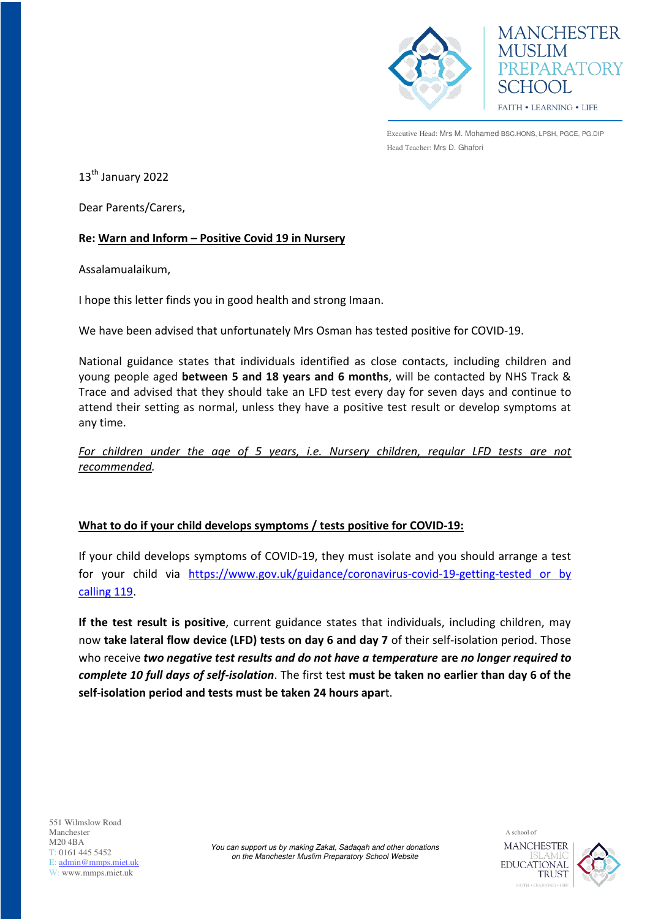

**MANCHESTER MUSLIM** PREPARATORY SCHOOL FAITH . LEARNING . LIFE

Executive Head: Mrs M. Mohamed BSC.HONS, LPSH, PGCE, PG.DIP Head Teacher: Mrs D. Ghafori

13<sup>th</sup> January 2022

Dear Parents/Carers,

## **Re: Warn and Inform – Positive Covid 19 in Nursery**

Assalamualaikum,

I hope this letter finds you in good health and strong Imaan.

We have been advised that unfortunately Mrs Osman has tested positive for COVID-19.

National guidance states that individuals identified as close contacts, including children and young people aged **between 5 and 18 years and 6 months**, will be contacted by NHS Track & Trace and advised that they should take an LFD test every day for seven days and continue to attend their setting as normal, unless they have a positive test result or develop symptoms at any time.

*For children under the age of 5 years, i.e. Nursery children, regular LFD tests are not recommended.* 

## **What to do if your child develops symptoms / tests positive for COVID-19:**

If your child develops symptoms of COVID-19, they must isolate and you should arrange a test for your child via [https://www.gov.uk/guidance/coronavirus-covid-19-getting-tested or by](https://www.gov.uk/guidance/coronavirus-covid-19-getting-tested%20or%20by%20calling%20119)  [calling 119.](https://www.gov.uk/guidance/coronavirus-covid-19-getting-tested%20or%20by%20calling%20119)

**If the test result is positive**, current guidance states that individuals, including children, may now **take lateral flow device (LFD) tests on day 6 and day 7** of their self-isolation period. Those who receive *two negative test results and do not have a temperature* **are** *no longer required to complete 10 full days of self-isolation*. The first test **must be taken no earlier than day 6 of the self-isolation period and tests must be taken 24 hours apar**t.